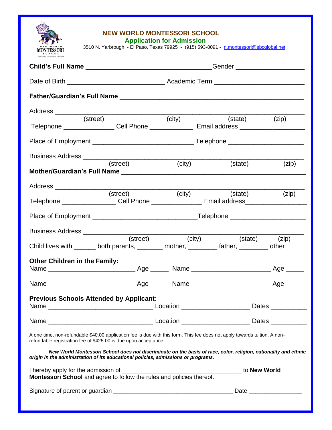

## **NEW WORLD MONTESSORI SCHOOL**

 **Application for Admission**

| NEW WORLD                                                                                                                                                                                            |          |        | 3510 N. Yarbrough - El Paso, Texas 79925 - (915) 593-8091 - n.montessori@sbcqlobal.net |            |
|------------------------------------------------------------------------------------------------------------------------------------------------------------------------------------------------------|----------|--------|----------------------------------------------------------------------------------------|------------|
|                                                                                                                                                                                                      |          |        |                                                                                        |            |
|                                                                                                                                                                                                      |          |        |                                                                                        |            |
|                                                                                                                                                                                                      |          |        |                                                                                        |            |
|                                                                                                                                                                                                      |          |        |                                                                                        |            |
| (street)<br>Telephone _________________Cell Phone ________________ Email address _______________________________                                                                                     |          | (city) | (state) (zip)                                                                          |            |
|                                                                                                                                                                                                      |          |        |                                                                                        |            |
|                                                                                                                                                                                                      |          |        |                                                                                        |            |
|                                                                                                                                                                                                      | (street) | (city) | (state)                                                                                | (zip)      |
|                                                                                                                                                                                                      |          |        |                                                                                        |            |
| Telephone ___________________Cell Phone _________________Email address_____________________________                                                                                                  |          |        | (street) (city) (state)                                                                | (zip)      |
|                                                                                                                                                                                                      |          |        |                                                                                        |            |
|                                                                                                                                                                                                      |          |        |                                                                                        |            |
| Child lives with _______ both parents, ________ mother, ________ father, ________ other                                                                                                              | (street) | (city) | (state) (zip)                                                                          |            |
| <b>Other Children in the Family:</b>                                                                                                                                                                 |          |        |                                                                                        |            |
|                                                                                                                                                                                                      |          |        |                                                                                        | Age $\_\_$ |
| <b>Previous Schools Attended by Applicant:</b>                                                                                                                                                       |          |        |                                                                                        |            |
|                                                                                                                                                                                                      |          |        |                                                                                        |            |
| A one time, non-refundable \$40.00 application fee is due with this form. This fee does not apply towards tuition. A non-<br>refundable registration fee of \$425.00 is due upon acceptance.         |          |        |                                                                                        |            |
| New World Montessori School does not discriminate on the basis of race, color, religion, nationality and ethnic<br>origin in the administration of its educational policies, admissions or programs. |          |        |                                                                                        |            |
|                                                                                                                                                                                                      |          |        |                                                                                        |            |
|                                                                                                                                                                                                      |          |        |                                                                                        |            |